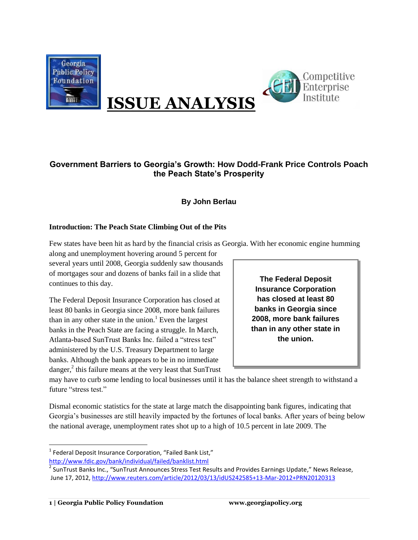



# **ISSUE ANALYSIS**

## **Government Barriers to Georgia's Growth: How Dodd-Frank Price Controls Poach the Peach State's Prosperity**

## **By John Berlau**

#### **Introduction: The Peach State Climbing Out of the Pits**

Few states have been hit as hard by the financial crisis as Georgia. With her economic engine humming

along and unemployment hovering around 5 percent for several years until 2008, Georgia suddenly saw thousands of mortgages sour and dozens of banks fail in a slide that continues to this day.

The Federal Deposit Insurance Corporation has closed at least 80 banks in Georgia since 2008, more bank failures than in any other state in the union.<sup>1</sup> Even the largest banks in the Peach State are facing a struggle. In March, Atlanta-based SunTrust Banks Inc. failed a "stress test" administered by the U.S. Treasury Department to large banks. Although the bank appears to be in no immediate danger, $^{2}$  this failure means at the very least that SunTrust

**The Federal Deposit Insurance Corporation has closed at least 80 banks in Georgia since 2008, more bank failures than in any other state in the union.**

may have to curb some lending to local businesses until it has the balance sheet strength to withstand a future "stress test."

Dismal economic statistics for the state at large match the disappointing bank figures, indicating that Georgia's businesses are still heavily impacted by the fortunes of local banks. After years of being below the national average, unemployment rates shot up to a high of 10.5 percent in late 2009. The

 $\overline{a}$ 

<sup>&</sup>lt;sup>1</sup> Federal Deposit Insurance Corporation, "Failed Bank List,"

<http://www.fdic.gov/bank/individual/failed/banklist.html>

<sup>&</sup>lt;sup>2</sup> SunTrust Banks Inc., "SunTrust Announces Stress Test Results and Provides Earnings Update," News Release, June 17, 2012,<http://www.reuters.com/article/2012/03/13/idUS242585+13-Mar-2012+PRN20120313>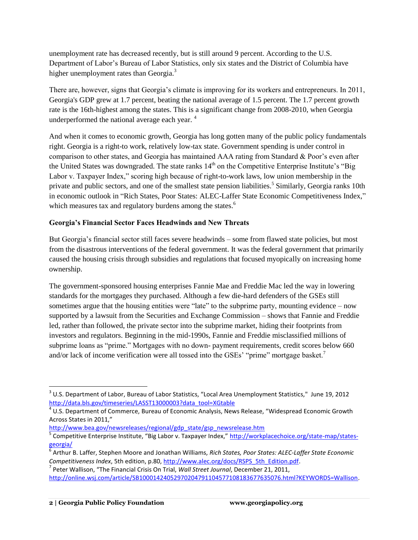unemployment rate has decreased recently, but is still around 9 percent. According to the U.S. Department of Labor's Bureau of Labor Statistics, only six states and the District of Columbia have higher unemployment rates than Georgia.<sup>3</sup>

There are, however, signs that Georgia's climate is improving for its workers and entrepreneurs. In 2011, Georgia's GDP grew at 1.7 percent, beating the national average of 1.5 percent. The 1.7 percent growth rate is the 16th-highest among the states. This is a significant change from 2008-2010, when Georgia underperformed the national average each year.<sup>4</sup>

And when it comes to economic growth, Georgia has long gotten many of the public policy fundamentals right. Georgia is a right-to work, relatively low-tax state. Government spending is under control in comparison to other states, and Georgia has maintained AAA rating from Standard & Poor's even after the United States was downgraded. The state ranks  $14<sup>th</sup>$  on the Competitive Enterprise Institute's "Big Labor v. Taxpayer Index," scoring high because of right-to-work laws, low union membership in the private and public sectors, and one of the smallest state pension liabilities.<sup>5</sup> Similarly, Georgia ranks 10th in economic outlook in "Rich States, Poor States: ALEC-Laffer State Economic Competitiveness Index," which measures tax and regulatory burdens among the states.<sup>6</sup>

#### **Georgia's Financial Sector Faces Headwinds and New Threats**

But Georgia's financial sector still faces severe headwinds – some from flawed state policies, but most from the disastrous interventions of the federal government. It was the federal government that primarily caused the housing crisis through subsidies and regulations that focused myopically on increasing home ownership.

The government-sponsored housing enterprises Fannie Mae and Freddie Mac led the way in lowering standards for the mortgages they purchased. Although a few die-hard defenders of the GSEs still sometimes argue that the housing entities were "late" to the subprime party, mounting evidence – now supported by a lawsuit from the Securities and Exchange Commission – shows that Fannie and Freddie led, rather than followed, the private sector into the subprime market, hiding their footprints from investors and regulators. Beginning in the mid-1990s, Fannie and Freddie misclassified millions of subprime loans as "prime." Mortgages with no down- payment requirements, credit scores below 660 and/or lack of income verification were all tossed into the GSEs' "prime" mortgage basket.<sup>7</sup>

[http://www.bea.gov/newsreleases/regional/gdp\\_state/gsp\\_newsrelease.htm](https://ex03.mindshift.com/exchweb/bin/redir.asp?URL=http://www.bea.gov/newsreleases/regional/gdp_state/gsp_newsrelease.htm)

l

 $^3$  U.S. Department of Labor, Bureau of Labor Statistics, "Local Area Unemployment Statistics," June 19, 2012 [http://data.bls.gov/timeseries/LASST13000003?data\\_tool=XGtable](https://ex03.mindshift.com/exchweb/bin/redir.asp?URL=http://data.bls.gov/timeseries/LASST13000003?data_tool=XGtable)

 $4$  U.S. Department of Commerce, Bureau of Economic Analysis, News Release, "Widespread Economic Growth Across States in 2011,"

<sup>&</sup>lt;sup>5</sup> Competitive Enterprise Institute, "Big Labor v. Taxpayer Index," [http://workplacechoice.org/state-map/states](http://workplacechoice.org/state-map/states-georgia/)[georgia/](http://workplacechoice.org/state-map/states-georgia/)

<sup>6</sup> Arthur B. Laffer, Stephen Moore and Jonathan Williams, *Rich States, Poor States: ALEC-Laffer State Economic Competitiveness Index*, 5th edition, p.80[, http://www.alec.org/docs/RSPS\\_5th\\_Edition.pdf.](http://www.alec.org/docs/RSPS_5th_Edition.pdf)

<sup>7</sup> Peter Wallison, "The Financial Crisis On Trial, *Wall Street Journal*, December 21, 2011,

[http://online.wsj.com/article/SB10001424052970204791104577108183677635076.html?KEYWORDS=Wallison.](http://online.wsj.com/article/SB10001424052970204791104577108183677635076.html?KEYWORDS=Wallison)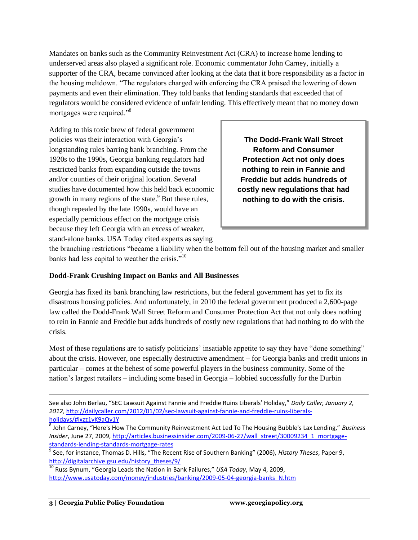Mandates on banks such as the Community Reinvestment Act (CRA) to increase home lending to underserved areas also played a significant role. Economic commentator John Carney, initially a supporter of the CRA, became convinced after looking at the data that it bore responsibility as a factor in the housing meltdown. "The regulators charged with enforcing the CRA praised the lowering of down payments and even their elimination. They told banks that lending standards that exceeded that of regulators would be considered evidence of unfair lending. This effectively meant that no money down mortgages were required."<sup>8</sup>

Adding to this toxic brew of federal government policies was their interaction with Georgia's longstanding rules barring bank branching. From the 1920s to the 1990s, Georgia banking regulators had restricted banks from expanding outside the towns and/or counties of their original location. Several studies have documented how this held back economic growth in many regions of the state.<sup>9</sup> But these rules, though repealed by the late 1990s, would have an especially pernicious effect on the mortgage crisis because they left Georgia with an excess of weaker,

**The Dodd-Frank Wall Street Reform and Consumer Protection Act not only does nothing to rein in Fannie and Freddie but adds hundreds of costly new regulations that had nothing to do with the crisis.**

stand-alone banks. USA Today cited experts as saying

the branching restrictions "became a liability when the bottom fell out of the housing market and smaller banks had less capital to weather the crisis."<sup>10</sup>

#### **Dodd-Frank Crushing Impact on Banks and All Businesses**

Georgia has fixed its bank branching law restrictions, but the federal government has yet to fix its disastrous housing policies. And unfortunately, in 2010 the federal government produced a 2,600-page law called the Dodd-Frank Wall Street Reform and Consumer Protection Act that not only does nothing to rein in Fannie and Freddie but adds hundreds of costly new regulations that had nothing to do with the crisis.

Most of these regulations are to satisfy politicians' insatiable appetite to say they have "done something" about the crisis. However, one especially destructive amendment – for Georgia banks and credit unions in particular – comes at the behest of some powerful players in the business community. Some of the nation's largest retailers – including some based in Georgia – lobbied successfully for the Durbin

See also John Berlau, "SEC Lawsuit Against Fannie and Freddie Ruins Liberals' Holiday," *Daily Caller, January 2, 2012,* [http://dailycaller.com/2012/01/02/sec-lawsuit-against-fannie-and-freddie-ruins-liberals](http://dailycaller.com/2012/01/02/sec-lawsuit-against-fannie-and-freddie-ruins-liberals-holidays/#ixzz1yK9aQv1Y)[holidays/#ixzz1yK9aQv1Y](http://dailycaller.com/2012/01/02/sec-lawsuit-against-fannie-and-freddie-ruins-liberals-holidays/#ixzz1yK9aQv1Y)

<sup>8</sup> John Carney, "Here's How The Community Reinvestment Act Led To The Housing Bubble's Lax Lending," *Business Insider*, June 27, 2009, [http://articles.businessinsider.com/2009-06-27/wall\\_street/30009234\\_1\\_mortgage](http://articles.businessinsider.com/2009-06-27/wall_street/30009234_1_mortgage-standards-lending-standards-mortgage-rates)[standards-lending-standards-mortgage-rates](http://articles.businessinsider.com/2009-06-27/wall_street/30009234_1_mortgage-standards-lending-standards-mortgage-rates)

<sup>9</sup> See, for instance, Thomas D. Hills, "The Recent Rise of Southern Banking" (2006), *History Theses*, Paper 9, [http://digitalarchive.gsu.edu/history\\_theses/9/](http://digitalarchive.gsu.edu/history_theses/9/)

<sup>10</sup> Russ Bynum, "Georgia Leads the Nation in Bank Failures," *USA Today*, May 4, 2009, [http://www.usatoday.com/money/industries/banking/2009-05-04-georgia-banks\\_N.htm](http://www.usatoday.com/money/industries/banking/2009-05-04-georgia-banks_N.htm)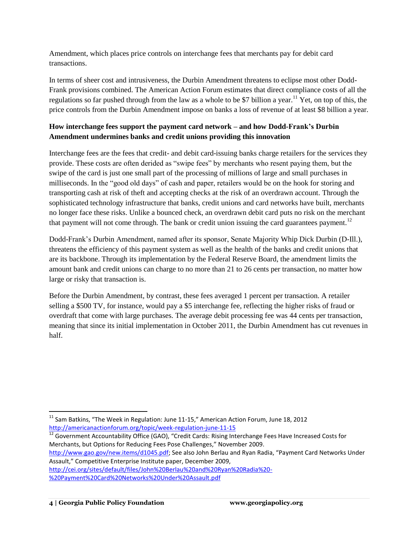Amendment, which places price controls on interchange fees that merchants pay for debit card transactions.

In terms of sheer cost and intrusiveness, the Durbin Amendment threatens to eclipse most other Dodd-Frank provisions combined. The American Action Forum estimates that direct compliance costs of all the regulations so far pushed through from the law as a whole to be \$7 billion a year.<sup>11</sup> Yet, on top of this, the price controls from the Durbin Amendment impose on banks a loss of revenue of at least \$8 billion a year.

### **How interchange fees support the payment card network – and how Dodd-Frank's Durbin Amendment undermines banks and credit unions providing this innovation**

Interchange fees are the fees that credit- and debit card-issuing banks charge retailers for the services they provide. These costs are often derided as "swipe fees" by merchants who resent paying them, but the swipe of the card is just one small part of the processing of millions of large and small purchases in milliseconds. In the "good old days" of cash and paper, retailers would be on the hook for storing and transporting cash at risk of theft and accepting checks at the risk of an overdrawn account. Through the sophisticated technology infrastructure that banks, credit unions and card networks have built, merchants no longer face these risks. Unlike a bounced check, an overdrawn debit card puts no risk on the merchant that payment will not come through. The bank or credit union issuing the card guarantees payment.<sup>12</sup>

Dodd-Frank's Durbin Amendment, named after its sponsor, Senate Majority Whip Dick Durbin (D-Ill.), threatens the efficiency of this payment system as well as the health of the banks and credit unions that are its backbone. Through its implementation by the Federal Reserve Board, the amendment limits the amount bank and credit unions can charge to no more than 21 to 26 cents per transaction, no matter how large or risky that transaction is.

Before the Durbin Amendment, by contrast, these fees averaged 1 percent per transaction. A retailer selling a \$500 TV, for instance, would pay a \$5 interchange fee, reflecting the higher risks of fraud or overdraft that come with large purchases. The average debit processing fee was 44 cents per transaction, meaning that since its initial implementation in October 2011, the Durbin Amendment has cut revenues in half.

<sup>12</sup> Government Accountability Office (GAO), "Credit Cards: Rising Interchange Fees Have Increased Costs for Merchants, but Options for Reducing Fees Pose Challenges," November 2009.

<http://www.gao.gov/new.items/d1045.pdf>; See also John Berlau and Ryan Radia, "Payment Card Networks Under Assault," Competitive Enterprise Institute paper, December 2009,

[http://cei.org/sites/default/files/John%20Berlau%20and%20Ryan%20Radia%20-](http://cei.org/sites/default/files/John%20Berlau%20and%20Ryan%20Radia%20-%20Payment%20Card%20Networks%20Under%20Assault.pdf) [%20Payment%20Card%20Networks%20Under%20Assault.pdf](http://cei.org/sites/default/files/John%20Berlau%20and%20Ryan%20Radia%20-%20Payment%20Card%20Networks%20Under%20Assault.pdf)

 $11$  Sam Batkins, "The Week in Regulation: June 11-15," American Action Forum, June 18, 2012 <http://americanactionforum.org/topic/week-regulation-june-11-15>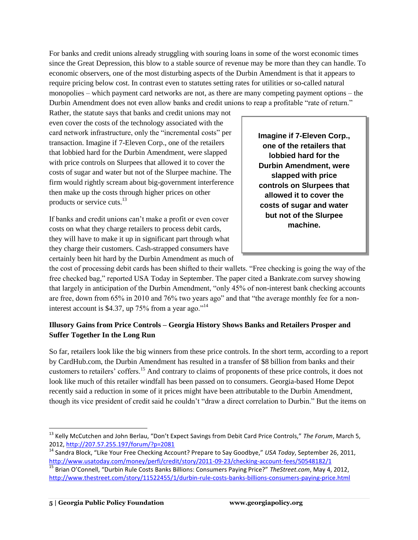For banks and credit unions already struggling with souring loans in some of the worst economic times since the Great Depression, this blow to a stable source of revenue may be more than they can handle. To economic observers, one of the most disturbing aspects of the Durbin Amendment is that it appears to require pricing below cost. In contrast even to statutes setting rates for utilities or so-called natural monopolies – which payment card networks are not, as there are many competing payment options – the Durbin Amendment does not even allow banks and credit unions to reap a profitable "rate of return."

Rather, the statute says that banks and credit unions may not even cover the costs of the technology associated with the card network infrastructure, only the "incremental costs" per transaction. Imagine if 7-Eleven Corp., one of the retailers that lobbied hard for the Durbin Amendment, were slapped with price controls on Slurpees that allowed it to cover the costs of sugar and water but not of the Slurpee machine. The firm would rightly scream about big-government interference then make up the costs through higher prices on other products or service cuts.<sup>13</sup>

If banks and credit unions can't make a profit or even cover costs on what they charge retailers to process debit cards, they will have to make it up in significant part through what they charge their customers. Cash-strapped consumers have certainly been hit hard by the Durbin Amendment as much of **Imagine if 7-Eleven Corp., one of the retailers that lobbied hard for the Durbin Amendment, were slapped with price controls on Slurpees that allowed it to cover the costs of sugar and water but not of the Slurpee machine.**

the cost of processing debit cards has been shifted to their wallets. "Free checking is going the way of the free checked bag," reported USA Today in September. The paper cited a Bankrate.com survey showing that largely in anticipation of the Durbin Amendment, "only 45% of non-interest bank checking accounts are free, down from 65% in 2010 and 76% two years ago" and that "the average monthly fee for a noninterest account is \$4.37, up  $75\%$  from a year ago."<sup>14</sup>

#### **Illusory Gains from Price Controls – Georgia History Shows Banks and Retailers Prosper and Suffer Together In the Long Run**

So far, retailers look like the big winners from these price controls. In the short term, according to a report by CardHub.com, the Durbin Amendment has resulted in a transfer of \$8 billion from banks and their customers to retailers' coffers.<sup>15</sup> And contrary to claims of proponents of these price controls, it does not look like much of this retailer windfall has been passed on to consumers. Georgia-based Home Depot recently said a reduction in some of it prices might have been attributable to the Durbin Amendment, though its vice president of credit said he couldn't "draw a direct correlation to Durbin." But the items on

l <sup>13</sup> Kelly McCutchen and John Berlau, "Don't Expect Savings from Debit Card Price Controls," *The Forum*, March 5, 2012,<http://207.57.255.197/forum/?p=2081>

<sup>&</sup>lt;sup>14</sup> Sandra Block, "Like Your Free Checking Account? Prepare to Say Goodbye," *USA Today*, September 26, 2011, <http://www.usatoday.com/money/perfi/credit/story/2011-09-23/checking-account-fees/50548182/1>

<sup>15</sup> Brian O'Connell, "Durbin Rule Costs Banks Billions: Consumers Paying Price?" *TheStreet.com*, May 4, 2012, <http://www.thestreet.com/story/11522455/1/durbin-rule-costs-banks-billions-consumers-paying-price.html>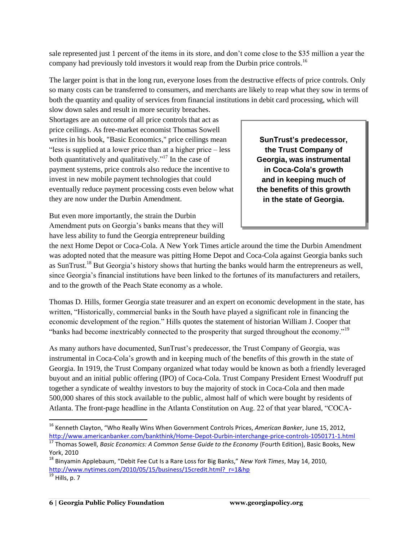sale represented just 1 percent of the items in its store, and don't come close to the \$35 million a year the company had previously told investors it would reap from the Durbin price controls.<sup>16</sup>

The larger point is that in the long run, everyone loses from the destructive effects of price controls. Only so many costs can be transferred to consumers, and merchants are likely to reap what they sow in terms of both the quantity and quality of services from financial institutions in debit card processing, which will

slow down sales and result in more security breaches. Shortages are an outcome of all price controls that act as price ceilings. As free-market economist Thomas Sowell writes in his book, "Basic Economics," price ceilings mean "less is supplied at a lower price than at a higher price – less both quantitatively and qualitatively."<sup>17</sup> In the case of payment systems, price controls also reduce the incentive to invest in new mobile payment technologies that could eventually reduce payment processing costs even below what they are now under the Durbin Amendment.

SunTrust's predecessor, **be transferred to the Trust Company of**  Georgia, was instrumental in Coca-Cola's growth and in keeping much of **the benefits of this growth** in the state of Georgia.

But even more importantly, the strain the Durbin Amendment puts on Georgia's banks means that they will have less ability to fund the Georgia entrepreneur building

the next Home Depot or Coca-Cola. A New York Times article around the time the Durbin Amendment was adopted noted that the measure was pitting Home Depot and Coca-Cola against Georgia banks such as SunTrust.<sup>18</sup> But Georgia's history shows that hurting the banks would harm the entrepreneurs as well, since Georgia's financial institutions have been linked to the fortunes of its manufacturers and retailers, and to the growth of the Peach State economy as a whole.

Thomas D. Hills, former Georgia state treasurer and an expert on economic development in the state, has written, "Historically, commercial banks in the South have played a significant role in financing the economic development of the region." Hills quotes the statement of historian William J. Cooper that "banks had become inextricably connected to the prosperity that surged throughout the economy."<sup>19</sup>

As many authors have documented, SunTrust's predecessor, the Trust Company of Georgia, was instrumental in Coca-Cola's growth and in keeping much of the benefits of this growth in the state of Georgia. In 1919, the Trust Company organized what today would be known as both a friendly leveraged buyout and an initial public offering (IPO) of Coca-Cola. Trust Company President Ernest Woodruff put together a syndicate of wealthy investors to buy the majority of stock in Coca-Cola and then made 500,000 shares of this stock available to the public, almost half of which were bought by residents of Atlanta. The front-page headline in the Atlanta Constitution on Aug. 22 of that year blared, "COCA-

 $\overline{\phantom{a}}$ <sup>16</sup> Kenneth Clayton, "Who Really Wins When Government Controls Prices, *American Banker*, June 15, 2012, <http://www.americanbanker.com/bankthink/Home-Depot-Durbin-interchange-price-controls-1050171-1.html>

<sup>&</sup>lt;sup>17</sup> Thomas Sowell, *Basic Economics: A Common Sense Guide to the Economy* (Fourth Edition), Basic Books, New York, 2010

<sup>18</sup> Binyamin Applebaum, "Debit Fee Cut Is a Rare Loss for Big Banks," *New York Times*, May 14, 2010, [http://www.nytimes.com/2010/05/15/business/15credit.html?\\_r=1&hp](http://www.nytimes.com/2010/05/15/business/15credit.html?_r=1&hp)

 $\frac{19}{19}$  Hills, p. 7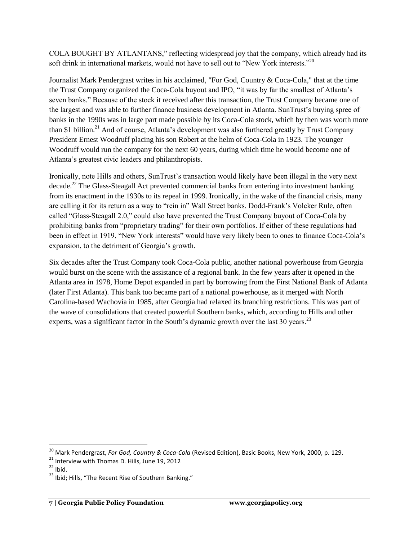COLA BOUGHT BY ATLANTANS," reflecting widespread joy that the company, which already had its soft drink in international markets, would not have to sell out to "New York interests."<sup>20</sup>

Journalist Mark Pendergrast writes in his acclaimed, "For God, Country & Coca-Cola," that at the time the Trust Company organized the Coca-Cola buyout and IPO, "it was by far the smallest of Atlanta's seven banks." Because of the stock it received after this transaction, the Trust Company became one of the largest and was able to further finance business development in Atlanta. SunTrust's buying spree of banks in the 1990s was in large part made possible by its Coca-Cola stock, which by then was worth more than \$1 billion.<sup>21</sup> And of course, Atlanta's development was also furthered greatly by Trust Company President Ernest Woodruff placing his son Robert at the helm of Coca-Cola in 1923. The younger Woodruff would run the company for the next 60 years, during which time he would become one of Atlanta's greatest civic leaders and philanthropists.

Ironically, note Hills and others, SunTrust's transaction would likely have been illegal in the very next decade.<sup>22</sup> The Glass-Steagall Act prevented commercial banks from entering into investment banking from its enactment in the 1930s to its repeal in 1999. Ironically, in the wake of the financial crisis, many are calling it for its return as a way to "rein in" Wall Street banks. Dodd-Frank's Volcker Rule, often called "Glass-Steagall 2.0," could also have prevented the Trust Company buyout of Coca-Cola by prohibiting banks from "proprietary trading" for their own portfolios. If either of these regulations had been in effect in 1919, "New York interests" would have very likely been to ones to finance Coca-Cola's expansion, to the detriment of Georgia's growth.

Six decades after the Trust Company took Coca-Cola public, another national powerhouse from Georgia would burst on the scene with the assistance of a regional bank. In the few years after it opened in the Atlanta area in 1978, Home Depot expanded in part by borrowing from the First National Bank of Atlanta (later First Atlanta). This bank too became part of a national powerhouse, as it merged with North Carolina-based Wachovia in 1985, after Georgia had relaxed its branching restrictions. This was part of the wave of consolidations that created powerful Southern banks, which, according to Hills and other experts, was a significant factor in the South's dynamic growth over the last 30 years.<sup>23</sup>

 $\overline{a}$ 

<sup>&</sup>lt;sup>20</sup> Mark Pendergrast, *For God, Country & Coca-Cola* (Revised Edition), Basic Books, New York, 2000, p. 129.

<sup>&</sup>lt;sup>21</sup> Interview with Thomas D. Hills, June 19, 2012

 $22$  Ibid.

<sup>&</sup>lt;sup>23</sup> Ibid; Hills, "The Recent Rise of Southern Banking."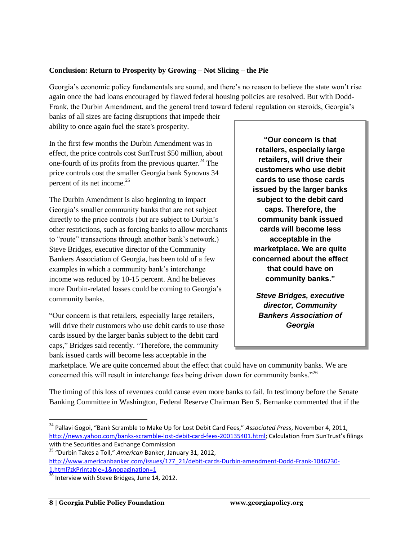#### **Conclusion: Return to Prosperity by Growing – Not Slicing – the Pie**

Georgia's economic policy fundamentals are sound, and there's no reason to believe the state won't rise again once the bad loans encouraged by flawed federal housing policies are resolved. But with Dodd-Frank, the Durbin Amendment, and the general trend toward federal regulation on steroids, Georgia's

banks of all sizes are facing disruptions that impede their ability to once again fuel the state's prosperity.

In the first few months the Durbin Amendment was in effect, the price controls cost SunTrust \$50 million, about one-fourth of its profits from the previous quarter.<sup>24</sup> The price controls cost the smaller Georgia bank Synovus 34 percent of its net income.<sup>25</sup>

The Durbin Amendment is also beginning to impact Georgia's smaller community banks that are not subject directly to the price controls (but are subject to Durbin's other restrictions, such as forcing banks to allow merchants to "route" transactions through another bank's network.) Steve Bridges, executive director of the Community Bankers Association of Georgia, has been told of a few examples in which a community bank's interchange income was reduced by 10-15 percent. And he believes more Durbin-related losses could be coming to Georgia's community banks.

"Our concern is that retailers, especially large retailers, will drive their customers who use debit cards to use those cards issued by the larger banks subject to the debit card caps," Bridges said recently. "Therefore, the community bank issued cards will become less acceptable in the

**"Our concern is that retailers, especially large retailers, will drive their customers who use debit cards to use those cards issued by the larger banks subject to the debit card caps. Therefore, the community bank issued cards will become less acceptable in the marketplace. We are quite concerned about the effect that could have on community banks."**

*Steve Bridges, executive director, Community Bankers Association of Georgia*

marketplace. We are quite concerned about the effect that could have on community banks. We are concerned this will result in interchange fees being driven down for community banks."<sup>26</sup>

The timing of this loss of revenues could cause even more banks to fail. In testimony before the Senate Banking Committee in Washington, Federal Reserve Chairman Ben S. Bernanke commented that if the

<sup>24</sup> Pallavi Gogoi, "Bank Scramble to Make Up for Lost Debit Card Fees," *Associated Press*, November 4, 2011, <http://news.yahoo.com/banks-scramble-lost-debit-card-fees-200135401.html>; Calculation from SunTrust's filings with the Securities and Exchange Commission

<sup>25</sup> "Durbin Takes a Toll," *American* Banker, January 31, 2012, [http://www.americanbanker.com/issues/177\\_21/debit-cards-Durbin-amendment-Dodd-Frank-1046230-](https://ex03.mindshift.com/exchweb/bin/redir.asp?URL=http://www.americanbanker.com/issues/177_21/debit-cards-Durbin-amendment-Dodd-Frank-1046230-1.html?zkPrintable=1%26nopagination=1)

[<sup>1.</sup>html?zkPrintable=1&nopagination=1](https://ex03.mindshift.com/exchweb/bin/redir.asp?URL=http://www.americanbanker.com/issues/177_21/debit-cards-Durbin-amendment-Dodd-Frank-1046230-1.html?zkPrintable=1%26nopagination=1)

 $26$  Interview with Steve Bridges, June 14, 2012.